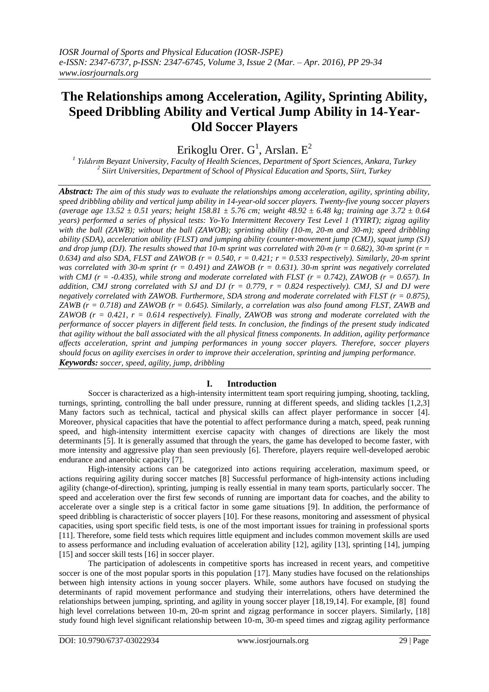# **The Relationships among Acceleration, Agility, Sprinting Ability, Speed Dribbling Ability and Vertical Jump Ability in 14-Year-Old Soccer Players**

Erikoglu Orer.  $G^1$ , Arslan.  $E^2$ 

*1 Yıldırım Beyazıt University, Faculty of Health Sciences, Department of Sport Sciences, Ankara, Turkey 2 Siirt Universities, Department of School of Physical Education and Sports, Siirt, Turkey*

*Abstract: The aim of this study was to evaluate the relationships among acceleration, agility, sprinting ability, speed dribbling ability and vertical jump ability in 14-year-old soccer players. Twenty-five young soccer players (average age 13.52 ± 0.51 years; height 158.81 ± 5.76 cm; weight 48.92 ± 6.48 kg; training age 3.72 ± 0.64 years) performed a series of physical tests: Yo-Yo Intermittent Recovery Test Level 1 (YYIRT); zigzag agility with the ball (ZAWB); without the ball (ZAWOB); sprinting ability (10-m, 20-m and 30-m); speed dribbling ability (SDA), acceleration ability (FLST) and jumping ability (counter-movement jump (CMJ), squat jump (SJ)*  and drop jump *(DJ). The results showed that 10-m sprint was correlated with 20-m (* $r = 0.682$ *), 30-m sprint (* $r =$ *0.634) and also SDA, FLST and ZAWOB (r = 0.540, r = 0.421; r = 0.533 respectively). Similarly, 20-m sprint was correlated with 30-m sprint (r = 0.491) and ZAWOB (r = 0.631). 30-m sprint was negatively correlated with CMJ (r = -0.435), while strong and moderate correlated with FLST (r = 0.742), ZAWOB (r = 0.657). In addition, CMJ strong correlated with SJ and DJ (r = 0.779, r = 0.824 respectively). CMJ, SJ and DJ were negatively correlated with ZAWOB. Furthermore, SDA strong and moderate correlated with FLST (r = 0.875), ZAWB (r = 0.718) and ZAWOB (r = 0.645). Similarly, a correlation was also found among FLST, ZAWB and ZAWOB (r = 0.421, r = 0.614 respectively). Finally, ZAWOB was strong and moderate correlated with the performance of soccer players in different field tests. In conclusion, the findings of the present study indicated that agility without the ball associated with the all physical fitness components. In addition, agility performance affects acceleration, sprint and jumping performances in young soccer players. Therefore, soccer players should focus on agility exercises in order to improve their acceleration, sprinting and jumping performance. Keywords: soccer, speed, agility, jump, dribbling*

## **I. Introduction**

Soccer is characterized as a high-intensity intermittent team sport requiring jumping, shooting, tackling, turnings, sprinting, controlling the ball under pressure, running at different speeds, and sliding tackles [1,2,3] Many factors such as technical, tactical and physical skills can affect player performance in soccer [4]. Moreover, physical capacities that have the potential to affect performance during a match, speed, peak running speed, and high-intensity intermittent exercise capacity with changes of directions are likely the most determinants [5]. It is generally assumed that through the years, the game has developed to become faster, with more intensity and aggressive play than seen previously [6]. Therefore, players require well-developed aerobic endurance and anaerobic capacity [7].

High-intensity actions can be categorized into actions requiring acceleration, maximum speed, or actions requiring agility during soccer matches [8] Successful performance of high-intensity actions including agility (change-of-direction), sprinting, jumping is really essential in many team sports, particularly soccer. The speed and acceleration over the first few seconds of running are important data for coaches, and the ability to accelerate over a single step is a critical factor in some game situations [9]. In addition, the performance of speed dribbling is characteristic of soccer players [10]. For these reasons, monitoring and assessment of physical capacities, using sport specific field tests, is one of the most important issues for training in professional sports [11]. Therefore, some field tests which requires little equipment and includes common movement skills are used to assess performance and including evaluation of acceleration ability [12], agility [13], sprinting [14], jumping [15] and soccer skill tests [16] in soccer player.

The participation of adolescents in competitive sports has increased in recent years, and competitive soccer is one of the most popular sports in this population [17]. Many studies have focused on the relationships between high intensity actions in young soccer players. While, some authors have focused on studying the determinants of rapid movement performance and studying their interrelations, others have determined the relationships between jumping, sprinting, and agility in young soccer player [18,19,14]. For example, [8] found high level correlations between 10-m, 20-m sprint and zigzag performance in soccer players. Similarly, [18] study found high level significant relationship between 10-m, 30-m speed times and zigzag agility performance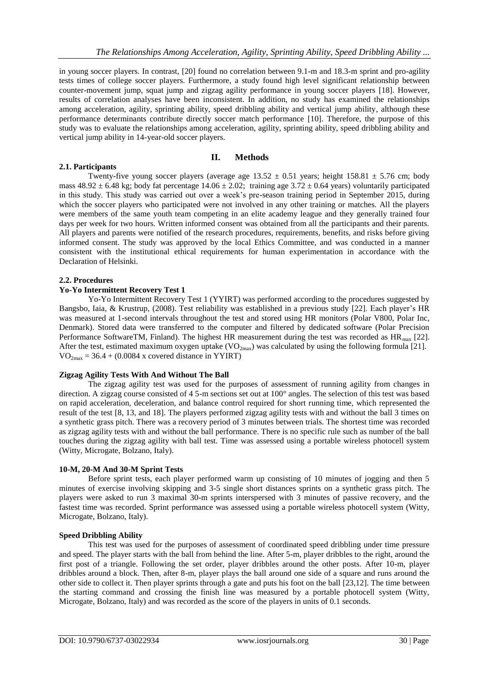in young soccer players. In contrast, [20] found no correlation between 9.1-m and 18.3-m sprint and pro-agility tests times of college soccer players. Furthermore, a study found high level significant relationship between counter-movement jump, squat jump and zigzag agility performance in young soccer players [18]. However, results of correlation analyses have been inconsistent. In addition, no study has examined the relationships among acceleration, agility, sprinting ability, speed dribbling ability and vertical jump ability, although these performance determinants contribute directly soccer match performance [10]. Therefore, the purpose of this study was to evaluate the relationships among acceleration, agility, sprinting ability, speed dribbling ability and vertical jump ability in 14-year-old soccer players.

## **2.1. Participants**

## **II. Methods**

Twenty-five young soccer players (average age  $13.52 \pm 0.51$  years; height  $158.81 \pm 5.76$  cm; body mass  $48.92 \pm 6.48$  kg; body fat percentage  $14.06 \pm 2.02$ ; training age  $3.72 \pm 0.64$  years) voluntarily participated in this study. This study was carried out over a week's pre-season training period in September 2015, during which the soccer players who participated were not involved in any other training or matches. All the players were members of the same youth team competing in an elite academy league and they generally trained four days per week for two hours. Written informed consent was obtained from all the participants and their parents. All players and parents were notified of the research procedures, requirements, benefits, and risks before giving informed consent. The study was approved by the local Ethics Committee, and was conducted in a manner consistent with the institutional ethical requirements for human experimentation in accordance with the Declaration of Helsinki.

## **2.2. Procedures**

## **Yo-Yo Intermittent Recovery Test 1**

Yo-Yo Intermittent Recovery Test 1 (YYIRT) was performed according to the procedures suggested by Bangsbo, Iaia, & Krustrup, (2008). Test reliability was established in a previous study [22]. Each player's HR was measured at 1-second intervals throughout the test and stored using HR monitors (Polar V800, Polar Inc, Denmark). Stored data were transferred to the computer and filtered by dedicated software (Polar Precision Performance SoftwareTM, Finland). The highest HR measurement during the test was recorded as  $HR<sub>max</sub>$  [22]. After the test, estimated maximum oxygen uptake  $(VO_{2max})$  was calculated by using the following formula [21].  $VO<sub>2max</sub> = 36.4 + (0.0084 x covered distance in YYIRT)$ 

## **Zigzag Agility Tests With And Without The Ball**

The zigzag agility test was used for the purposes of assessment of running agility from changes in direction. A zigzag course consisted of 4 5-m sections set out at 100° angles. The selection of this test was based on rapid acceleration, deceleration, and balance control required for short running time, which represented the result of the test [8, 13, and 18]. The players performed zigzag agility tests with and without the ball 3 times on a synthetic grass pitch. There was a recovery period of 3 minutes between trials. The shortest time was recorded as zigzag agility tests with and without the ball performance. There is no specific rule such as number of the ball touches during the zigzag agility with ball test. Time was assessed using a portable wireless photocell system (Witty, Microgate, Bolzano, Italy).

## **10-M, 20-M And 30-M Sprint Tests**

Before sprint tests, each player performed warm up consisting of 10 minutes of jogging and then 5 minutes of exercise involving skipping and 3-5 single short distances sprints on a synthetic grass pitch. The players were asked to run 3 maximal 30-m sprints interspersed with 3 minutes of passive recovery, and the fastest time was recorded. Sprint performance was assessed using a portable wireless photocell system (Witty, Microgate, Bolzano, Italy).

## **Speed Dribbling Ability**

This test was used for the purposes of assessment of coordinated speed dribbling under time pressure and speed. The player starts with the ball from behind the line. After 5-m, player dribbles to the right, around the first post of a triangle. Following the set order, player dribbles around the other posts. After 10-m, player dribbles around a block. Then, after 8-m, player plays the ball around one side of a square and runs around the other side to collect it. Then player sprints through a gate and puts his foot on the ball [23,12]. The time between the starting command and crossing the finish line was measured by a portable photocell system (Witty, Microgate, Bolzano, Italy) and was recorded as the score of the players in units of 0.1 seconds.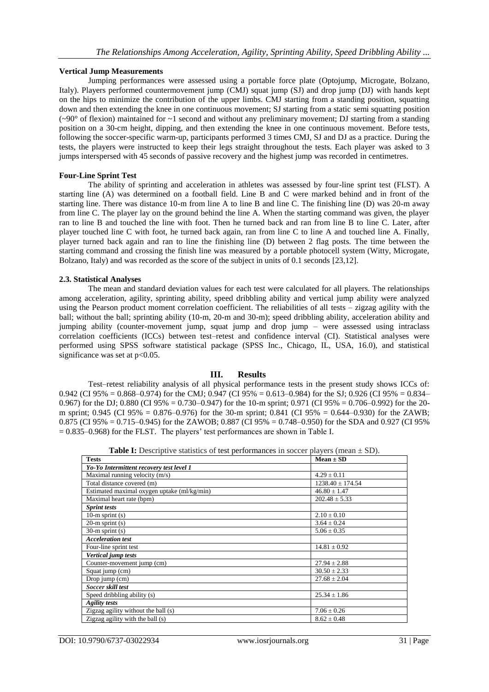## **Vertical Jump Measurements**

Jumping performances were assessed using a portable force plate (Optojump, Microgate, Bolzano, Italy). Players performed countermovement jump (CMJ) squat jump (SJ) and drop jump (DJ) with hands kept on the hips to minimize the contribution of the upper limbs. CMJ starting from a standing position, squatting down and then extending the knee in one continuous movement; SJ starting from a static semi squatting position  $({\sim}90^{\circ}$  of flexion) maintained for  ${\sim}1$  second and without any preliminary movement; DJ starting from a standing position on a 30-cm height, dipping, and then extending the knee in one continuous movement. Before tests, following the soccer-specific warm-up, participants performed 3 times CMJ, SJ and DJ as a practice. During the tests, the players were instructed to keep their legs straight throughout the tests. Each player was asked to 3 jumps interspersed with 45 seconds of passive recovery and the highest jump was recorded in centimetres.

## **Four-Line Sprint Test**

The ability of sprinting and acceleration in athletes was assessed by four-line sprint test (FLST). A starting line (A) was determined on a football field. Line B and C were marked behind and in front of the starting line. There was distance 10-m from line A to line B and line C. The finishing line (D) was 20-m away from line C. The player lay on the ground behind the line A. When the starting command was given, the player ran to line B and touched the line with foot. Then he turned back and ran from line B to line C. Later, after player touched line C with foot, he turned back again, ran from line C to line A and touched line A. Finally, player turned back again and ran to line the finishing line (D) between 2 flag posts. The time between the starting command and crossing the finish line was measured by a portable photocell system (Witty, Microgate, Bolzano, Italy) and was recorded as the score of the subject in units of 0.1 seconds [23,12].

## **2.3. Statistical Analyses**

The mean and standard deviation values for each test were calculated for all players. The relationships among acceleration, agility, sprinting ability, speed dribbling ability and vertical jump ability were analyzed using the Pearson product moment correlation coefficient. The reliabilities of all tests – zigzag agility with the ball; without the ball; sprinting ability (10-m, 20-m and 30-m); speed dribbling ability, acceleration ability and jumping ability (counter-movement jump, squat jump and drop jump – were assessed using intraclass correlation coefficients (ICCs) between test–retest and confidence interval (CI). Statistical analyses were performed using SPSS software statistical package (SPSS Inc., Chicago, IL, USA, 16.0), and statistical significance was set at  $p<0.05$ .

## **III. Results**

Test–retest reliability analysis of all physical performance tests in the present study shows ICCs of: 0.942 (CI 95% = 0.868–0.974) for the CMJ; 0.947 (CI 95% = 0.613–0.984) for the SJ; 0.926 (CI 95% = 0.834– 0.967) for the DJ; 0.880 (CI 95% = 0.730–0.947) for the 10-m sprint; 0.971 (CI 95% = 0.706–0.992) for the 20 m sprint; 0.945 (CI 95% = 0.876–0.976) for the 30-m sprint; 0.841 (CI 95% = 0.644–0.930) for the ZAWB; 0.875 (CI 95% = 0.715–0.945) for the ZAWOB; 0.887 (CI 95% = 0.748–0.950) for the SDA and 0.927 (CI 95%  $= 0.835 - 0.968$ ) for the FLST. The players' test performances are shown in Table I.

| <b>Table I:</b> Descriptive statistics of test performances in soccer players (mean $\pm$ SD). |  |
|------------------------------------------------------------------------------------------------|--|
|                                                                                                |  |

| <b>Tests</b>                                | $Mean \pm SD$        |  |  |  |
|---------------------------------------------|----------------------|--|--|--|
| Yo-Yo Intermittent recovery test level 1    |                      |  |  |  |
| Maximal running velocity $(m/s)$            | $4.29 \pm 0.11$      |  |  |  |
| Total distance covered (m)                  | $1238.40 \pm 174.54$ |  |  |  |
| Estimated maximal oxygen uptake (ml/kg/min) | $46.80 \pm 1.47$     |  |  |  |
| Maximal heart rate (bpm)                    | $202.48 \pm 5.33$    |  |  |  |
| <b>Sprint tests</b>                         |                      |  |  |  |
| 10-m sprint $(s)$                           | $2.10 \pm 0.10$      |  |  |  |
| $20-m$ sprint $(s)$                         | $3.64 \pm 0.24$      |  |  |  |
| $30-m$ sprint $(s)$                         | $5.06 \pm 0.35$      |  |  |  |
| <b>Acceleration test</b>                    |                      |  |  |  |
| Four-line sprint test                       | $14.81 \pm 0.92$     |  |  |  |
| Vertical jump tests                         |                      |  |  |  |
| Counter-movement jump (cm)                  | $27.94 \pm 2.88$     |  |  |  |
| Squat jump (cm)                             | $30.50 \pm 2.33$     |  |  |  |
| Drop jump $(cm)$                            | $27.68 \pm 2.04$     |  |  |  |
| Soccer skill test                           |                      |  |  |  |
| Speed dribbling ability (s)                 | $25.34 \pm 1.86$     |  |  |  |
| <b>Agility tests</b>                        |                      |  |  |  |
| Zigzag agility without the ball (s)         | $7.06 \pm 0.26$      |  |  |  |
| Zigzag agility with the ball $(s)$          | $8.62 \pm 0.48$      |  |  |  |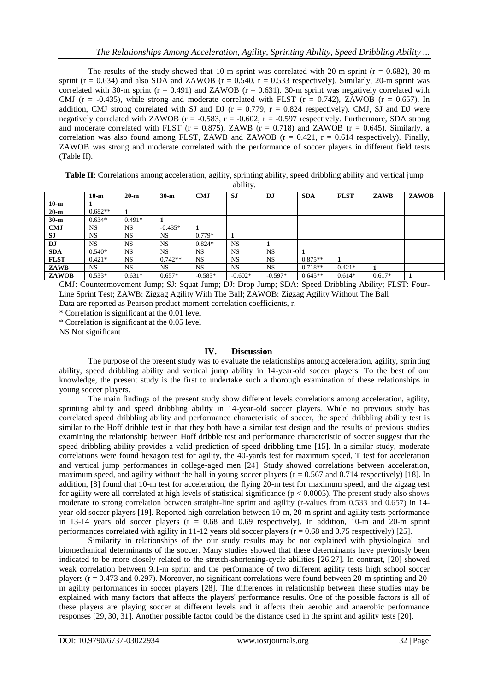The results of the study showed that 10-m sprint was correlated with 20-m sprint ( $r = 0.682$ ), 30-m sprint ( $r = 0.634$ ) and also SDA and ZAWOB ( $r = 0.540$ ,  $r = 0.533$  respectively). Similarly, 20-m sprint was correlated with 30-m sprint ( $r = 0.491$ ) and ZAWOB ( $r = 0.631$ ). 30-m sprint was negatively correlated with CMJ ( $r = -0.435$ ), while strong and moderate correlated with FLST ( $r = 0.742$ ), ZAWOB ( $r = 0.657$ ). In addition, CMJ strong correlated with SJ and DJ ( $r = 0.779$ ,  $r = 0.824$  respectively). CMJ, SJ and DJ were negatively correlated with ZAWOB ( $r = -0.583$ ,  $r = -0.602$ ,  $r = -0.597$  respectively. Furthermore, SDA strong and moderate correlated with FLST ( $r = 0.875$ ), ZAWB ( $r = 0.718$ ) and ZAWOB ( $r = 0.645$ ). Similarly, a correlation was also found among FLST, ZAWB and ZAWOB ( $r = 0.421$ ,  $r = 0.614$  respectively). Finally, ZAWOB was strong and moderate correlated with the performance of soccer players in different field tests (Table II).

**Table II**: Correlations among acceleration, agility, sprinting ability, speed dribbling ability and vertical jump ability.

|             | $10-m$    | $20-m$    | $30-m$    | <b>CMJ</b> | <b>SJ</b> | <b>DJ</b> | <b>SDA</b> | <b>FLST</b> | ZAWB     | <b>ZAWOB</b> |
|-------------|-----------|-----------|-----------|------------|-----------|-----------|------------|-------------|----------|--------------|
| $10-m$      |           |           |           |            |           |           |            |             |          |              |
| $20-m$      | $0.682**$ |           |           |            |           |           |            |             |          |              |
| $30-m$      | $0.634*$  | $0.491*$  |           |            |           |           |            |             |          |              |
| <b>CMJ</b>  | <b>NS</b> | <b>NS</b> | $-0.435*$ |            |           |           |            |             |          |              |
| <b>SJ</b>   | <b>NS</b> | <b>NS</b> | <b>NS</b> | $0.779*$   |           |           |            |             |          |              |
| DJ          | <b>NS</b> | <b>NS</b> | <b>NS</b> | $0.824*$   | <b>NS</b> |           |            |             |          |              |
| <b>SDA</b>  | $0.540*$  | <b>NS</b> | <b>NS</b> | NS         | <b>NS</b> | <b>NS</b> |            |             |          |              |
| <b>FLST</b> | $0.421*$  | <b>NS</b> | $0.742**$ | <b>NS</b>  | NS.       | <b>NS</b> | $0.875**$  |             |          |              |
| ZAWB        | <b>NS</b> | <b>NS</b> | <b>NS</b> | NS         | NS.       | <b>NS</b> | $0.718**$  | $0.421*$    |          |              |
| ZAWOB       | $0.533*$  | $0.631*$  | $0.657*$  | $-0.583*$  | $-0.602*$ | $-0.597*$ | $0.645**$  | $0.614*$    | $0.617*$ |              |

CMJ: Countermovement Jump; SJ: Squat Jump; DJ: Drop Jump; SDA: Speed Dribbling Ability; FLST: Four-Line Sprint Test; ZAWB: Zigzag Agility With The Ball; ZAWOB: Zigzag Agility Without The Ball Data are reported as Pearson product moment correlation coefficients, r.

\* Correlation is significant at the 0.01 level

\* Correlation is significant at the 0.05 level

NS Not significant

## **IV. Discussion**

The purpose of the present study was to evaluate the relationships among acceleration, agility, sprinting ability, speed dribbling ability and vertical jump ability in 14-year-old soccer players. To the best of our knowledge, the present study is the first to undertake such a thorough examination of these relationships in young soccer players.

The main findings of the present study show different levels correlations among acceleration, agility, sprinting ability and speed dribbling ability in 14-year-old soccer players. While no previous study has correlated speed dribbling ability and performance characteristic of soccer, the speed dribbling ability test is similar to the Hoff dribble test in that they both have a similar test design and the results of previous studies examining the relationship between Hoff dribble test and performance characteristic of soccer suggest that the speed dribbling ability provides a valid prediction of speed dribbling time [15]. In a similar study, moderate correlations were found hexagon test for agility, the 40-yards test for maximum speed, T test for acceleration and vertical jump performances in college-aged men [24]. Study showed correlations between acceleration, maximum speed, and agility without the ball in young soccer players ( $r = 0.567$  and 0.714 respectively) [18]. In addition, [8] found that 10-m test for acceleration, the flying 20-m test for maximum speed, and the zigzag test for agility were all correlated at high levels of statistical significance ( $p < 0.0005$ ). The present study also shows moderate to strong correlation between straight-line sprint and agility (r-values from 0.533 and 0.657) in 14 year-old soccer players [19]. Reported high correlation between 10-m, 20-m sprint and agility tests performance in 13-14 years old soccer players ( $r = 0.68$  and 0.69 respectively). In addition, 10-m and 20-m sprint performances correlated with agility in 11-12 years old soccer players (r = 0.68 and 0.75 respectively) [25].

Similarity in relationships of the our study results may be not explained with physiological and biomechanical determinants of the soccer. Many studies showed that these determinants have previously been indicated to be more closely related to the stretch-shortening-cycle abilities [26,27]. In contrast, [20] showed weak correlation between 9.1-m sprint and the performance of two different agility tests high school soccer players (r = 0.473 and 0.297). Moreover, no significant correlations were found between 20-m sprinting and 20 m agility performances in soccer players [28]. The differences in relationship between these studies may be explained with many factors that affects the players' performance results. One of the possible factors is all of these players are playing soccer at different levels and it affects their aerobic and anaerobic performance responses [29, 30, 31]. Another possible factor could be the distance used in the sprint and agility tests [20].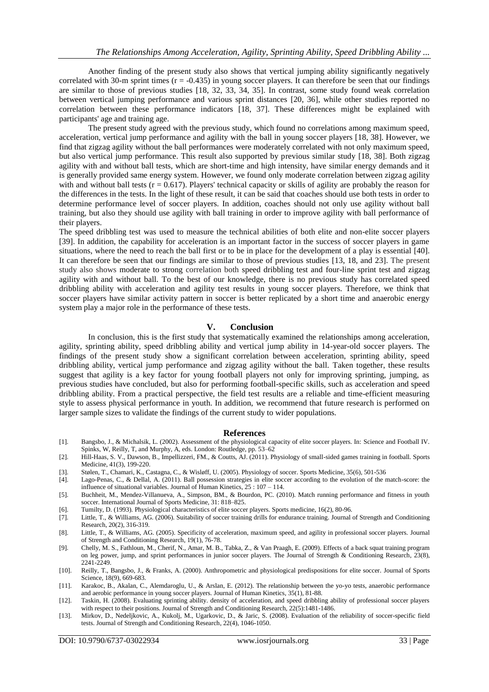Another finding of the present study also shows that vertical jumping ability significantly negatively correlated with 30-m sprint times  $(r = -0.435)$  in young soccer players. It can therefore be seen that our findings are similar to those of previous studies [18, 32, 33, 34, 35]. In contrast, some study found weak correlation between vertical jumping performance and various sprint distances [20, 36], while other studies reported no correlation between these performance indicators [18, 37]. These differences might be explained with participants' age and training age.

The present study agreed with the previous study, which found no correlations among maximum speed, acceleration, vertical jump performance and agility with the ball in young soccer players [18, 38]. However, we find that zigzag agility without the ball performances were moderately correlated with not only maximum speed, but also vertical jump performance. This result also supported by previous similar study [18, 38]. Both zigzag agility with and without ball tests, which are short-time and high intensity, have similar energy demands and it is generally provided same energy system. However, we found only moderate correlation between zigzag agility with and without ball tests  $(r = 0.617)$ . Players' technical capacity or skills of agility are probably the reason for the differences in the tests. In the light of these result, it can be said that coaches should use both tests in order to determine performance level of soccer players. In addition, coaches should not only use agility without ball training, but also they should use agility with ball training in order to improve agility with ball performance of their players.

The speed dribbling test was used to measure the technical abilities of both elite and non-elite soccer players [39]. In addition, the capability for acceleration is an important factor in the success of soccer players in game situations, where the need to reach the ball first or to be in place for the development of a play is essential [40]. It can therefore be seen that our findings are similar to those of previous studies [13, 18, and 23]. The present study also shows moderate to strong correlation both speed dribbling test and four-line sprint test and zigzag agility with and without ball. To the best of our knowledge, there is no previous study has correlated speed dribbling ability with acceleration and agility test results in young soccer players. Therefore, we think that soccer players have similar activity pattern in soccer is better replicated by a short time and anaerobic energy system play a major role in the performance of these tests.

## **V. Conclusion**

In conclusion, this is the first study that systematically examined the relationships among acceleration, agility, sprinting ability, speed dribbling ability and vertical jump ability in 14-year-old soccer players. The findings of the present study show a significant correlation between acceleration, sprinting ability, speed dribbling ability, vertical jump performance and zigzag agility without the ball. Taken together, these results suggest that agility is a key factor for young football players not only for improving sprinting, jumping, as previous studies have concluded, but also for performing football-specific skills, such as acceleration and speed dribbling ability. From a practical perspective, the field test results are a reliable and time-efficient measuring style to assess physical performance in youth. In addition, we recommend that future research is performed on larger sample sizes to validate the findings of the current study to wider populations.

#### **References**

- [1]. Bangsbo, J., & Michalsik, L. (2002). Assessment of the physiological capacity of elite soccer players. In: Science and Football IV. Spinks, W, Reilly, T, and Murphy, A, eds. London: Routledge, pp. 53–62
- [2]. Hill-Haas, S. V., Dawson, B., Impellizzeri, FM., & Coutts, AJ. (2011). Physiology of small-sided games training in football. Sports Medicine, 41(3), 199-220.
- [3]. Stølen, T., Chamari, K., Castagna, C., & Wisløff, U. (2005). Physiology of soccer. Sports Medicine, 35(6), 501-536
- [4]. Lago-Penas, C., & Dellal, A. (2011). Ball possession strategies in elite soccer according to the evolution of the match-score: the influence of situational variables. Journal of Human Kinetics, 25 : 107 – 114.
- [5]. Buchheit, M., Mendez-Villanueva, A., Simpson, BM., & Bourdon, PC. (2010). Match running performance and fitness in youth soccer. International Journal of Sports Medicine, 31: 818–825.
- [6]. Tumilty, D. (1993). Physiological characteristics of elite soccer players. Sports medicine, 16(2), 80-96.
- [7]. Little, T., & Williams, AG. (2006). Suitability of soccer training drills for endurance training. Journal of Strength and Conditioning Research, 20(2), 316-319.
- [8]. Little, T., & Williams, AG. (2005). Specificity of acceleration, maximum speed, and agility in professional soccer players. Journal of Strength and Conditioning Research, 19(1), 76-78.
- [9]. Chelly, M. S., Fathloun, M., Cherif, N., Amar, M. B., Tabka, Z., & Van Praagh, E. (2009). Effects of a back squat training program on leg power, jump, and sprint performances in junior soccer players. The Journal of Strength & Conditioning Research, 23(8), 2241-2249.
- [10]. Reilly, T., Bangsbo, J., & Franks, A. (2000). Anthropometric and physiological predispositions for elite soccer. Journal of Sports Science, 18(9), 669-683.
- [11]. Karakoc, B., Akalan, C., Alemdaroglu, U., & Arslan, E. (2012). The relationship between the yo-yo tests, anaerobic performance and aerobic performance in young soccer players. Journal of Human Kinetics, 35(1), 81-88.
- [12]. Taskin, H. (2008). Evaluating sprinting ability. density of acceleration, and speed dribbling ability of professional soccer players with respect to their positions. Journal of Strength and Conditioning Research, 22(5):1481-1486.
- [13]. Mirkov, D., Nedeljkovic, A., Kukolj, M., Ugarkovic, D., & Jaric, S. (2008). Evaluation of the reliability of soccer-specific field tests. Journal of Strength and Conditioning Research, 22(4), 1046-1050.